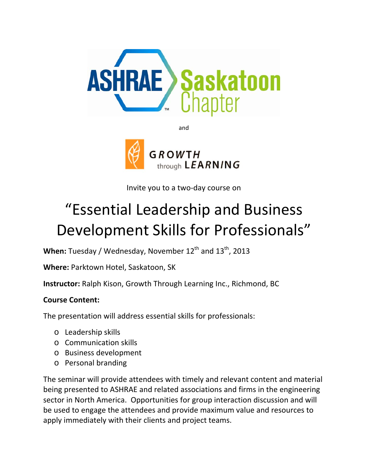

and



Invite you to a two‐day course on

# "Essential Leadership and Business Development Skills for Professionals"

When: Tuesday / Wednesday, November 12<sup>th</sup> and 13<sup>th</sup>, 2013

**Where:** Parktown Hotel, Saskatoon, SK

**Instructor:** Ralph Kison, Growth Through Learning Inc., Richmond, BC

# **Course Content:**

The presentation will address essential skills for professionals:

- o Leadership skills
- o Communication skills
- o Business development
- o Personal branding

The seminar will provide attendees with timely and relevant content and material being presented to ASHRAE and related associations and firms in the engineering sector in North America. Opportunities for group interaction discussion and will be used to engage the attendees and provide maximum value and resources to apply immediately with their clients and project teams.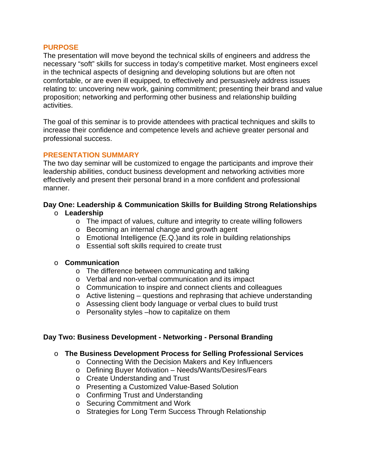#### **PURPOSE**

The presentation will move beyond the technical skills of engineers and address the necessary "soft" skills for success in today's competitive market. Most engineers excel in the technical aspects of designing and developing solutions but are often not comfortable, or are even ill equipped, to effectively and persuasively address issues relating to: uncovering new work, gaining commitment; presenting their brand and value proposition; networking and performing other business and relationship building activities.

The goal of this seminar is to provide attendees with practical techniques and skills to increase their confidence and competence levels and achieve greater personal and professional success.

#### **PRESENTATION SUMMARY**

The two day seminar will be customized to engage the participants and improve their leadership abilities, conduct business development and networking activities more effectively and present their personal brand in a more confident and professional manner.

#### **Day One: Leadership & Communication Skills for Building Strong Relationships**

#### o **Leadership**

- o The impact of values, culture and integrity to create willing followers
- o Becoming an internal change and growth agent
- o Emotional Intelligence (E.Q.)and its role in building relationships
- o Essential soft skills required to create trust

#### o **Communication**

- o The difference between communicating and talking
- o Verbal and non-verbal communication and its impact
- o Communication to inspire and connect clients and colleagues
- o Active listening questions and rephrasing that achieve understanding
- o Assessing client body language or verbal clues to build trust
- o Personality styles –how to capitalize on them

#### **Day Two: Business Development - Networking - Personal Branding**

#### o **The Business Development Process for Selling Professional Services**

- o Connecting With the Decision Makers and Key Influencers
- o Defining Buyer Motivation Needs/Wants/Desires/Fears
- o Create Understanding and Trust
- o Presenting a Customized Value-Based Solution
- o Confirming Trust and Understanding
- o Securing Commitment and Work
- o Strategies for Long Term Success Through Relationship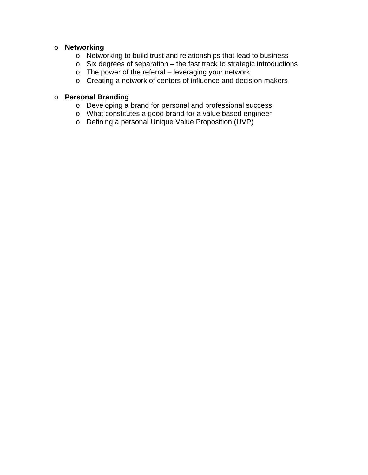### o **Networking**

- o Networking to build trust and relationships that lead to business
- o Six degrees of separation the fast track to strategic introductions
- o The power of the referral leveraging your network
- o Creating a network of centers of influence and decision makers

## o **Personal Branding**

- o Developing a brand for personal and professional success
- o What constitutes a good brand for a value based engineer
- o Defining a personal Unique Value Proposition (UVP)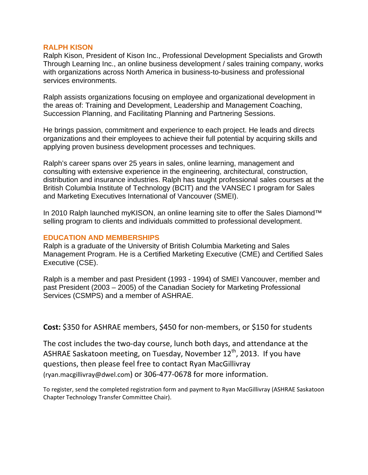#### **RALPH KISON**

Ralph Kison, President of Kison Inc., Professional Development Specialists and Growth Through Learning Inc., an online business development / sales training company, works with organizations across North America in business-to-business and professional services environments.

Ralph assists organizations focusing on employee and organizational development in the areas of: Training and Development, Leadership and Management Coaching, Succession Planning, and Facilitating Planning and Partnering Sessions.

He brings passion, commitment and experience to each project. He leads and directs organizations and their employees to achieve their full potential by acquiring skills and applying proven business development processes and techniques.

Ralph's career spans over 25 years in sales, online learning, management and consulting with extensive experience in the engineering, architectural, construction, distribution and insurance industries. Ralph has taught professional sales courses at the British Columbia Institute of Technology (BCIT) and the VANSEC I program for Sales and Marketing Executives International of Vancouver (SMEI).

In 2010 Ralph launched myKISON, an online learning site to offer the Sales Diamond™ selling program to clients and individuals committed to professional development.

#### **EDUCATION AND MEMBERSHIPS**

Ralph is a graduate of the University of British Columbia Marketing and Sales Management Program. He is a Certified Marketing Executive (CME) and Certified Sales Executive (CSE).

Ralph is a member and past President (1993 - 1994) of SMEI Vancouver, member and past President (2003 – 2005) of the Canadian Society for Marketing Professional Services (CSMPS) and a member of ASHRAE.

**Cost:** \$350 for ASHRAE members, \$450 for non‐members, or \$150 for students

The cost includes the two-day course, lunch both days, and attendance at the ASHRAE Saskatoon meeting, on Tuesday, November  $12<sup>th</sup>$ , 2013. If you have questions, then please feel free to contact Ryan MacGillivray (ryan.macgillivray@dwel.com) or 306‐477‐0678 for more information.

To register, send the completed registration form and payment to Ryan MacGillivray (ASHRAE Saskatoon Chapter Technology Transfer Committee Chair).